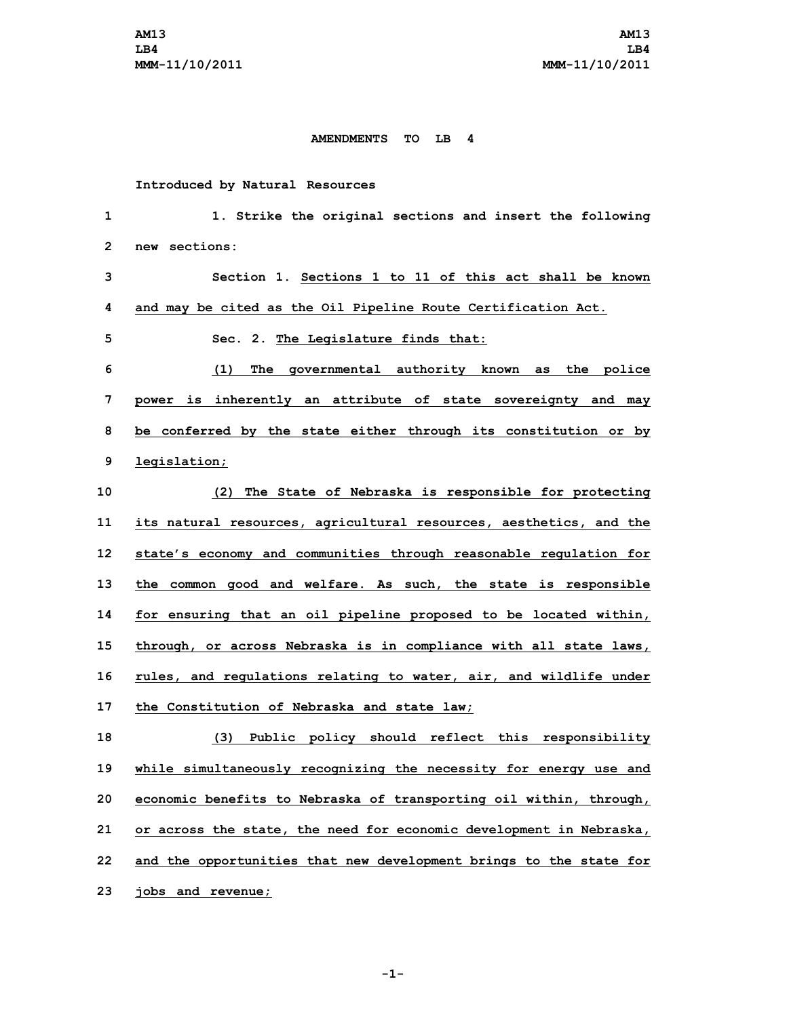## **AMENDMENTS TO LB 4**

## **Introduced by Natural Resources**

 **1. Strike the original sections and insert the following new sections: Section 1. Sections 1 to 11 of this act shall be known and may be cited as the Oil Pipeline Route Certification Act. Sec. 2. The Legislature finds that: (1) The governmental authority known as the police power is inherently an attribute of state sovereignty and may be conferred by the state either through its constitution or by legislation; (2) The State of Nebraska is responsible for protecting its natural resources, agricultural resources, aesthetics, and the state's economy and communities through reasonable regulation for the common good and welfare. As such, the state is responsible for ensuring that an oil pipeline proposed to be located within, through, or across Nebraska is in compliance with all state laws, rules, and regulations relating to water, air, and wildlife under the Constitution of Nebraska and state law; (3) Public policy should reflect this responsibility while simultaneously recognizing the necessity for energy use and economic benefits to Nebraska of transporting oil within, through, or across the state, the need for economic development in Nebraska, and the opportunities that new development brings to the state for jobs and revenue;**

**-1-**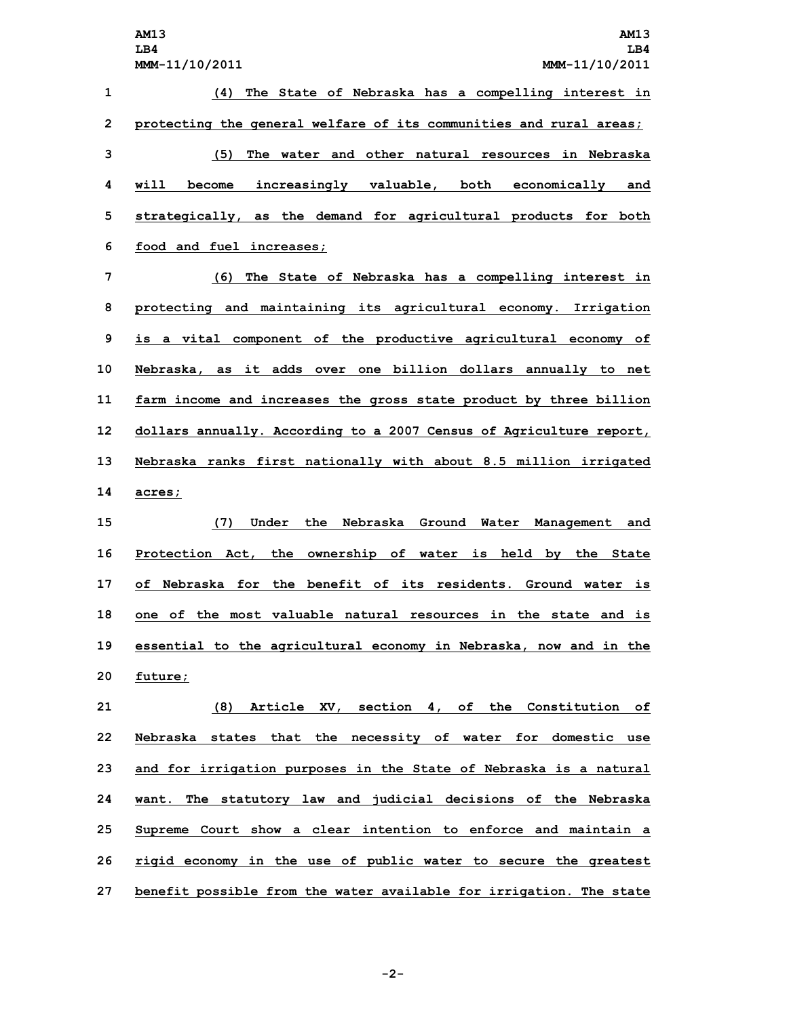|    | <b>AM13</b><br>AM13                                                     |
|----|-------------------------------------------------------------------------|
|    | LB4<br>LB4                                                              |
|    | MMM-11/10/2011<br>MMM-11/10/2011                                        |
| 1  | (4) The State of Nebraska has a compelling interest in                  |
| 2  | protecting the general welfare of its communities and rural areas;      |
| 3  | The water and other natural resources in Nebraska<br>(5)                |
| 4  | increasingly valuable, both economically and<br>will<br>become          |
| 5  | strategically, as the demand for agricultural products for both         |
| 6  | food and fuel increases;                                                |
| 7  | The State of Nebraska has a compelling interest in<br>(6)               |
| 8  | protecting and maintaining its agricultural economy. Irrigation         |
| 9  | is a vital component of the productive agricultural economy of          |
| 10 | Nebraska, as it adds over one billion dollars annually to net           |
| 11 | farm income and increases the gross state product by three billion      |
| 12 | dollars annually. According to a 2007 Census of Agriculture report,     |
| 13 | Nebraska ranks first nationally with about 8.5 million irrigated        |
| 14 | acres;                                                                  |
| 15 | (7)<br>the Nebraska Ground<br>Under<br>Water Management and             |
| 16 | Protection Act, the ownership of water is held by the State             |
| 17 | of Nebraska for the benefit of its residents. Ground water is           |
| 18 | the most valuable natural resources in the state and<br>of<br>is<br>one |

**20 future;**

 **(8) Article XV, section 4, of the Constitution of Nebraska states that the necessity of water for domestic use and for irrigation purposes in the State of Nebraska is <sup>a</sup> natural want. The statutory law and judicial decisions of the Nebraska Supreme Court show <sup>a</sup> clear intention to enforce and maintain <sup>a</sup> rigid economy in the use of public water to secure the greatest benefit possible from the water available for irrigation. The state**

**19 essential to the agricultural economy in Nebraska, now and in the**

**-2-**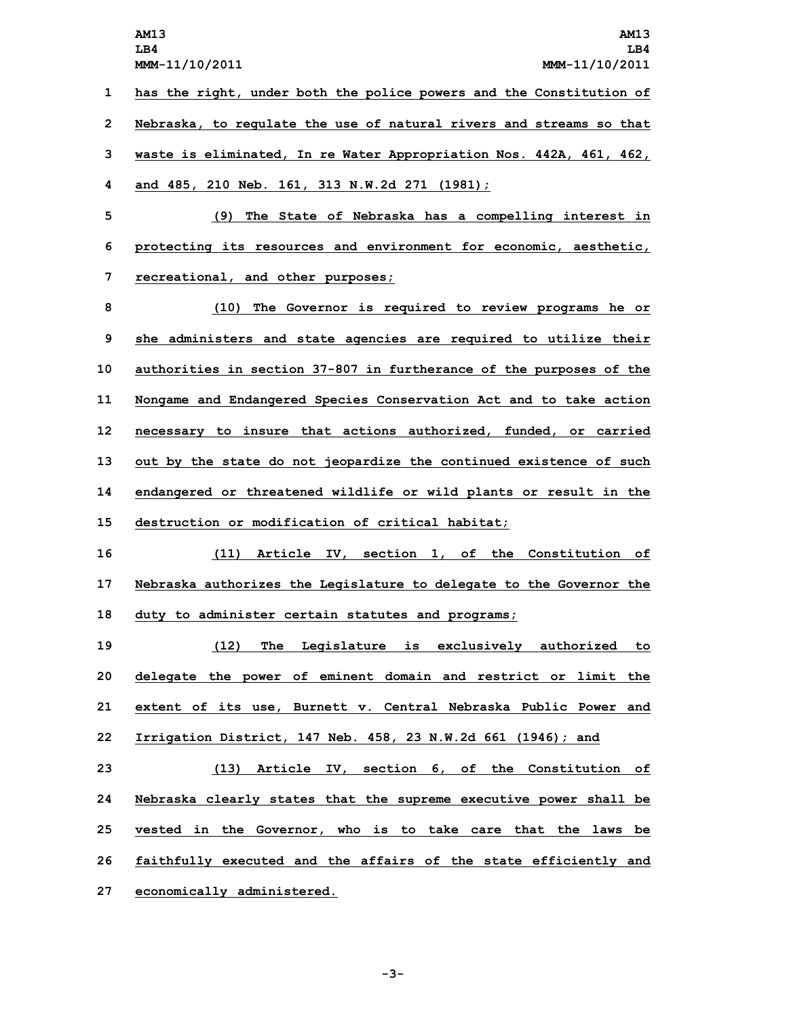**AM13 AM13 LB4 LB4 MMM-11/10/2011 MMM-11/10/2011 has the right, under both the police powers and the Constitution of Nebraska, to regulate the use of natural rivers and streams so that waste is eliminated, In re Water Appropriation Nos. 442A, 461, 462, and 485, 210 Neb. 161, 313 N.W.2d 271 (1981); (9) The State of Nebraska has <sup>a</sup> compelling interest in protecting its resources and environment for economic, aesthetic, recreational, and other purposes; (10) The Governor is required to review programs he or she administers and state agencies are required to utilize their authorities in section 37-807 in furtherance of the purposes of the Nongame and Endangered Species Conservation Act and to take action necessary to insure that actions authorized, funded, or carried out by the state do not jeopardize the continued existence of such endangered or threatened wildlife or wild plants or result in the destruction or modification of critical habitat; (11) Article IV, section 1, of the Constitution of Nebraska authorizes the Legislature to delegate to the Governor the duty to administer certain statutes and programs; (12) The Legislature is exclusively authorized to delegate the power of eminent domain and restrict or limit the extent of its use, Burnett v. Central Nebraska Public Power and Irrigation District, 147 Neb. 458, 23 N.W.2d 661 (1946); and (13) Article IV, section 6, of the Constitution of Nebraska clearly states that the supreme executive power shall be vested in the Governor, who is to take care that the laws be faithfully executed and the affairs of the state efficiently and economically administered.**

**-3-**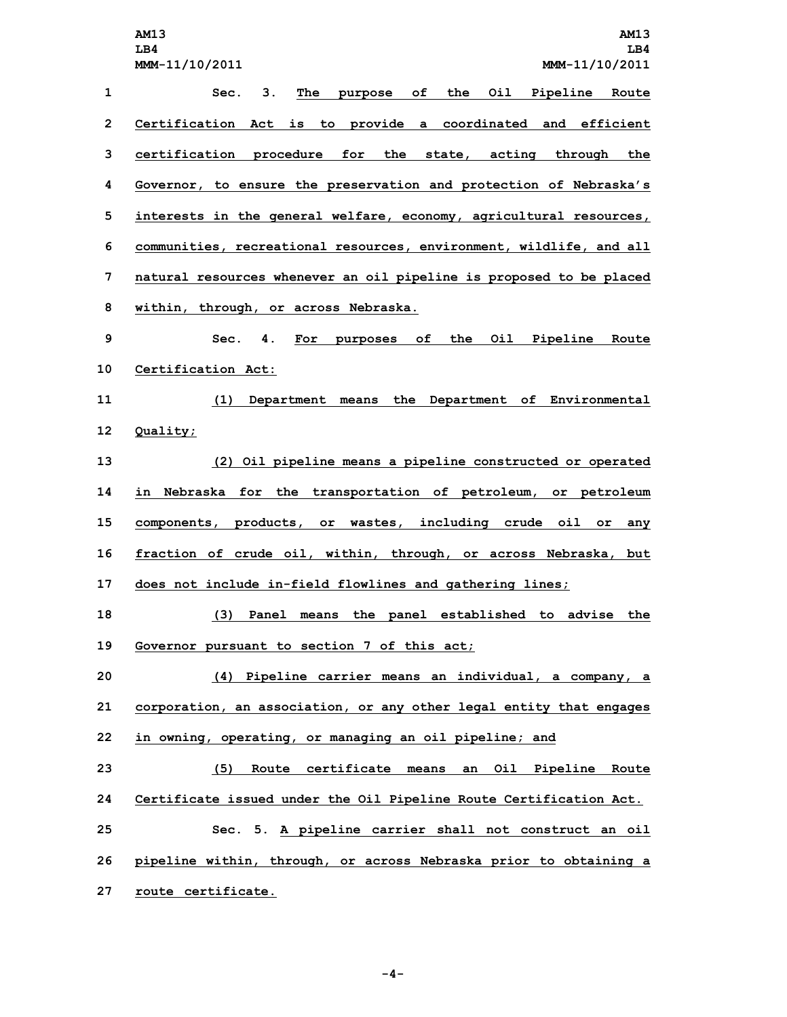**AM13 AM13 LB4 LB4 MMM-11/10/2011 MMM-11/10/2011 Sec. 3. The purpose of the Oil Pipeline Route Certification Act is to provide <sup>a</sup> coordinated and efficient certification procedure for the state, acting through the Governor, to ensure the preservation and protection of Nebraska's interests in the general welfare, economy, agricultural resources, communities, recreational resources, environment, wildlife, and all natural resources whenever an oil pipeline is proposed to be placed within, through, or across Nebraska. Sec. 4. For purposes of the Oil Pipeline Route Certification Act: (1) Department means the Department of Environmental 12 Quality; (2) Oil pipeline means <sup>a</sup> pipeline constructed or operated in Nebraska for the transportation of petroleum, or petroleum components, products, or wastes, including crude oil or any fraction of crude oil, within, through, or across Nebraska, but does not include in-field flowlines and gathering lines; (3) Panel means the panel established to advise the Governor pursuant to section 7 of this act; (4) Pipeline carrier means an individual, <sup>a</sup> company, <sup>a</sup> corporation, an association, or any other legal entity that engages in owning, operating, or managing an oil pipeline; and (5) Route certificate means an Oil Pipeline Route Certificate issued under the Oil Pipeline Route Certification Act. Sec. 5. <sup>A</sup> pipeline carrier shall not construct an oil pipeline within, through, or across Nebraska prior to obtaining <sup>a</sup> route certificate.**

**-4-**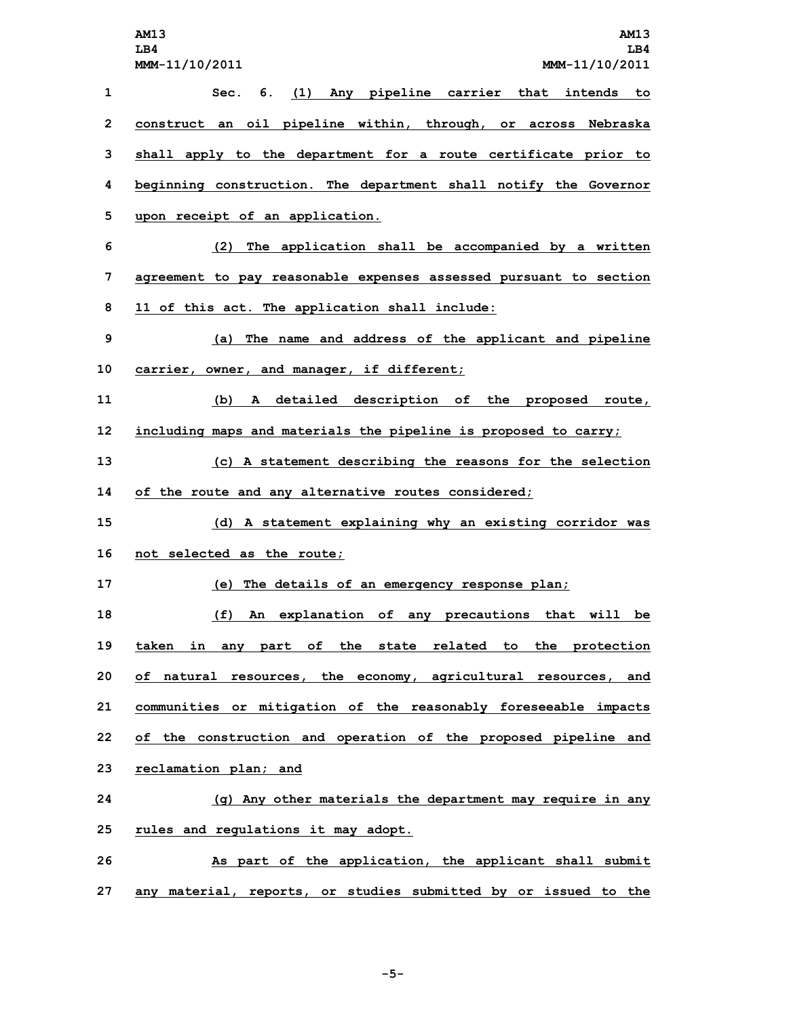**AM13 AM13 LB4 LB4 MMM-11/10/2011 MMM-11/10/2011 Sec. 6. (1) Any pipeline carrier that intends to construct an oil pipeline within, through, or across Nebraska shall apply to the department for <sup>a</sup> route certificate prior to beginning construction. The department shall notify the Governor upon receipt of an application. (2) The application shall be accompanied by <sup>a</sup> written agreement to pay reasonable expenses assessed pursuant to section 11 of this act. The application shall include: (a) The name and address of the applicant and pipeline carrier, owner, and manager, if different; (b) <sup>A</sup> detailed description of the proposed route, including maps and materials the pipeline is proposed to carry; (c) <sup>A</sup> statement describing the reasons for the selection of the route and any alternative routes considered; (d) <sup>A</sup> statement explaining why an existing corridor was not selected as the route; (e) The details of an emergency response plan; (f) An explanation of any precautions that will be taken in any part of the state related to the protection of natural resources, the economy, agricultural resources, and communities or mitigation of the reasonably foreseeable impacts of the construction and operation of the proposed pipeline and reclamation plan; and (g) Any other materials the department may require in any rules and regulations it may adopt. As part of the application, the applicant shall submit any material, reports, or studies submitted by or issued to the**

**-5-**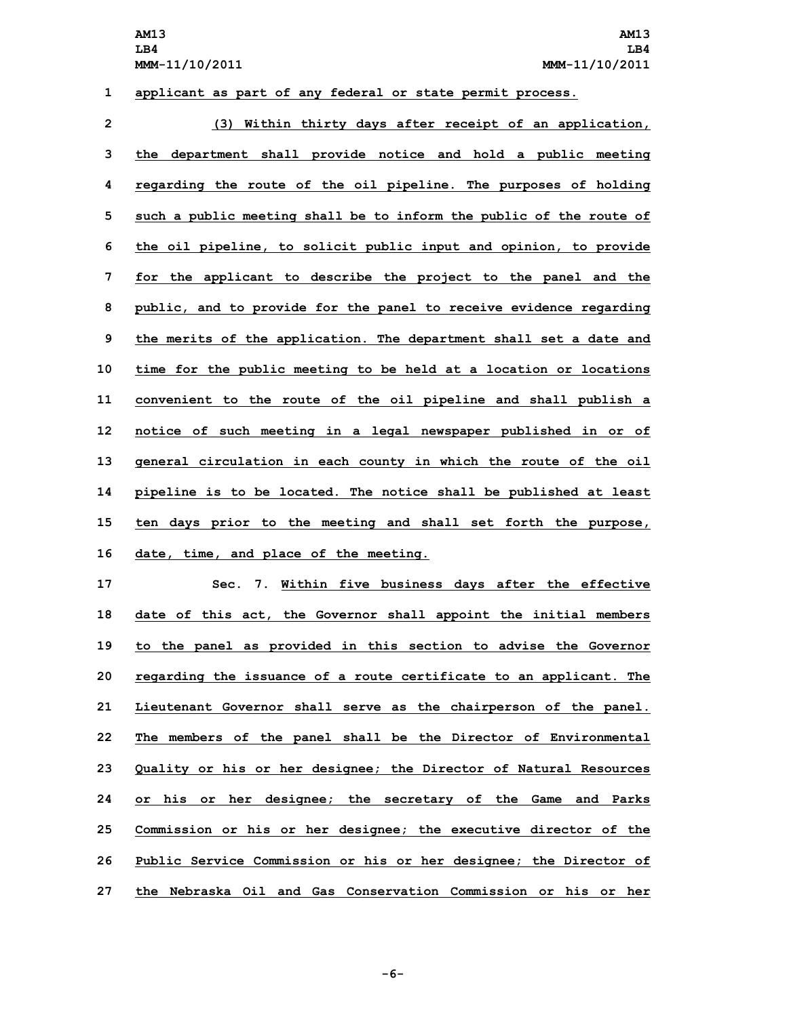## **1 applicant as part of any federal or state permit process.**

 **(3) Within thirty days after receipt of an application, the department shall provide notice and hold <sup>a</sup> public meeting regarding the route of the oil pipeline. The purposes of holding such <sup>a</sup> public meeting shall be to inform the public of the route of the oil pipeline, to solicit public input and opinion, to provide for the applicant to describe the project to the panel and the public, and to provide for the panel to receive evidence regarding the merits of the application. The department shall set <sup>a</sup> date and time for the public meeting to be held at <sup>a</sup> location or locations convenient to the route of the oil pipeline and shall publish <sup>a</sup> notice of such meeting in <sup>a</sup> legal newspaper published in or of general circulation in each county in which the route of the oil pipeline is to be located. The notice shall be published at least ten days prior to the meeting and shall set forth the purpose, date, time, and place of the meeting.**

 **Sec. 7. Within five business days after the effective date of this act, the Governor shall appoint the initial members to the panel as provided in this section to advise the Governor regarding the issuance of <sup>a</sup> route certificate to an applicant. The Lieutenant Governor shall serve as the chairperson of the panel. The members of the panel shall be the Director of Environmental Quality or his or her designee; the Director of Natural Resources or his or her designee; the secretary of the Game and Parks Commission or his or her designee; the executive director of the Public Service Commission or his or her designee; the Director of the Nebraska Oil and Gas Conservation Commission or his or her**

**-6-**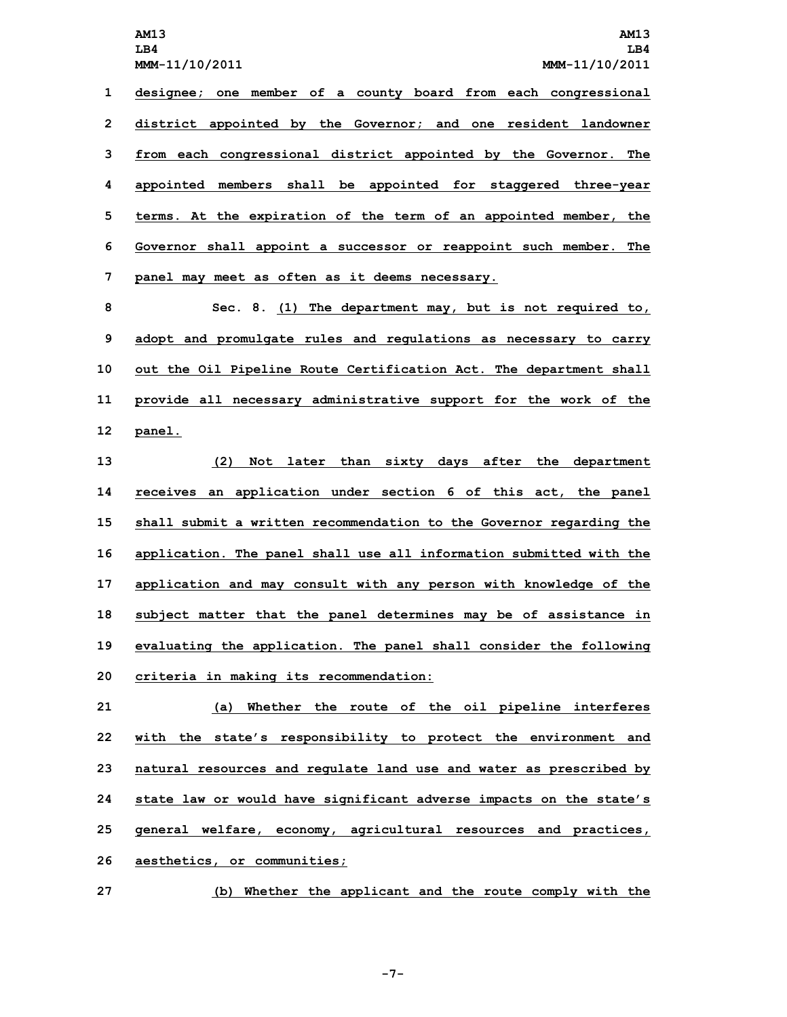**AM13 AM13 LB4 LB4 MMM-11/10/2011 MMM-11/10/2011 designee; one member of <sup>a</sup> county board from each congressional district appointed by the Governor; and one resident landowner from each congressional district appointed by the Governor. The appointed members shall be appointed for staggered three-year terms. At the expiration of the term of an appointed member, the Governor shall appoint <sup>a</sup> successor or reappoint such member. The panel may meet as often as it deems necessary.**

 **Sec. 8. (1) The department may, but is not required to, adopt and promulgate rules and regulations as necessary to carry out the Oil Pipeline Route Certification Act. The department shall provide all necessary administrative support for the work of the 12 panel.**

 **(2) Not later than sixty days after the department receives an application under section 6 of this act, the panel shall submit <sup>a</sup> written recommendation to the Governor regarding the application. The panel shall use all information submitted with the application and may consult with any person with knowledge of the subject matter that the panel determines may be of assistance in evaluating the application. The panel shall consider the following criteria in making its recommendation:**

 **(a) Whether the route of the oil pipeline interferes with the state's responsibility to protect the environment and natural resources and regulate land use and water as prescribed by state law or would have significant adverse impacts on the state's general welfare, economy, agricultural resources and practices, aesthetics, or communities;**

**27 (b) Whether the applicant and the route comply with the**

**-7-**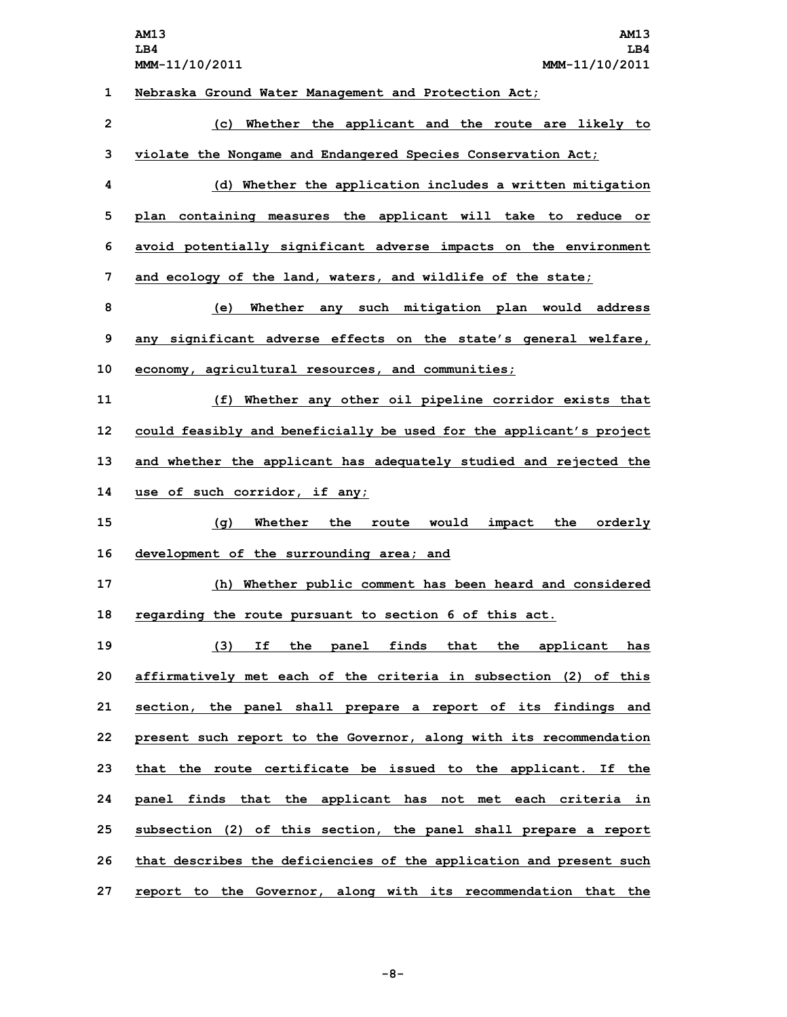**AM13 AM13 LB4 LB4 MMM-11/10/2011 MMM-11/10/2011 Nebraska Ground Water Management and Protection Act; (c) Whether the applicant and the route are likely to violate the Nongame and Endangered Species Conservation Act; (d) Whether the application includes <sup>a</sup> written mitigation plan containing measures the applicant will take to reduce or avoid potentially significant adverse impacts on the environment and ecology of the land, waters, and wildlife of the state; (e) Whether any such mitigation plan would address any significant adverse effects on the state's general welfare, economy, agricultural resources, and communities; (f) Whether any other oil pipeline corridor exists that could feasibly and beneficially be used for the applicant's project and whether the applicant has adequately studied and rejected the use of such corridor, if any; (g) Whether the route would impact the orderly development of the surrounding area; and (h) Whether public comment has been heard and considered regarding the route pursuant to section 6 of this act. (3) If the panel finds that the applicant has affirmatively met each of the criteria in subsection (2) of this section, the panel shall prepare <sup>a</sup> report of its findings and present such report to the Governor, along with its recommendation that the route certificate be issued to the applicant. If the panel finds that the applicant has not met each criteria in subsection (2) of this section, the panel shall prepare <sup>a</sup> report that describes the deficiencies of the application and present such**

**27 report to the Governor, along with its recommendation that the**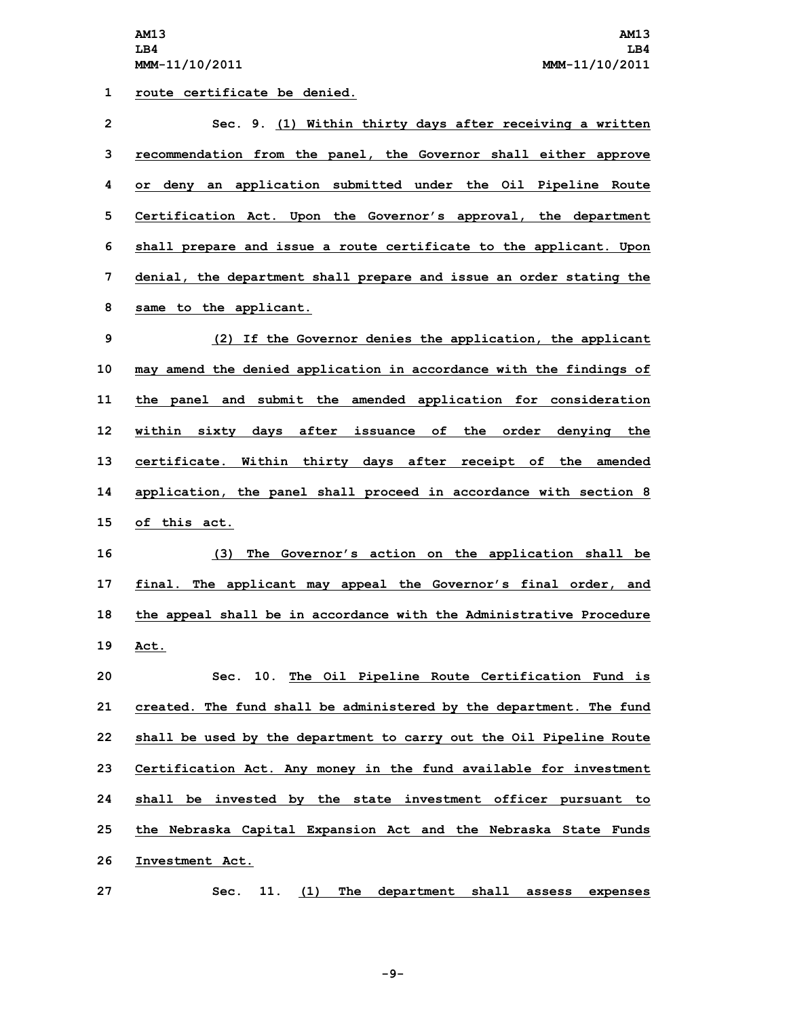**route certificate be denied. Sec. 9. (1) Within thirty days after receiving <sup>a</sup> written recommendation from the panel, the Governor shall either approve or deny an application submitted under the Oil Pipeline Route Certification Act. Upon the Governor's approval, the department shall prepare and issue <sup>a</sup> route certificate to the applicant. Upon denial, the department shall prepare and issue an order stating the same to the applicant. (2) If the Governor denies the application, the applicant may amend the denied application in accordance with the findings of the panel and submit the amended application for consideration within sixty days after issuance of the order denying the certificate. Within thirty days after receipt of the amended application, the panel shall proceed in accordance with section 8 of this act. (3) The Governor's action on the application shall be final. The applicant may appeal the Governor's final order, and the appeal shall be in accordance with the Administrative Procedure 19 Act. Sec. 10. The Oil Pipeline Route Certification Fund is created. The fund shall be administered by the department. The fund shall be used by the department to carry out the Oil Pipeline Route Certification Act. Any money in the fund available for investment**

**25 the Nebraska Capital Expansion Act and the Nebraska State Funds 26 Investment Act.**

**24 shall be invested by the state investment officer pursuant to**

**27 Sec. 11. (1) The department shall assess expenses**

**-9-**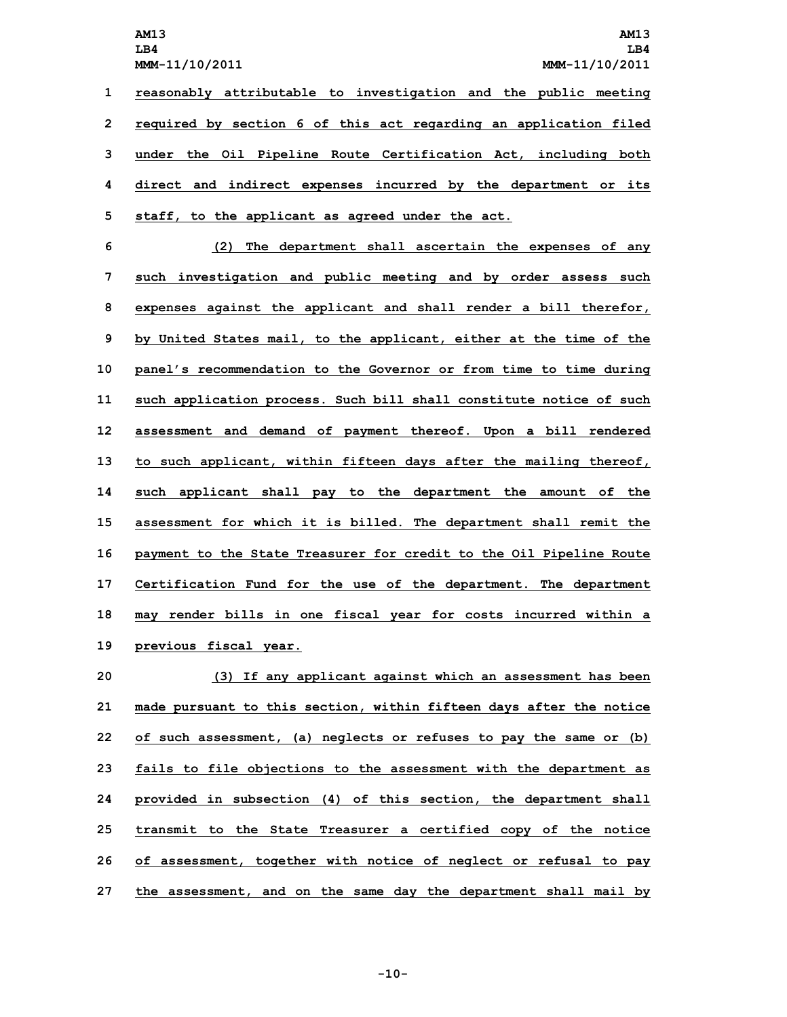**AM13 AM13 LB4 LB4 MMM-11/10/2011 MMM-11/10/2011 reasonably attributable to investigation and the public meeting required by section 6 of this act regarding an application filed under the Oil Pipeline Route Certification Act, including both direct and indirect expenses incurred by the department or its staff, to the applicant as agreed under the act.**

 **(2) The department shall ascertain the expenses of any such investigation and public meeting and by order assess such expenses against the applicant and shall render <sup>a</sup> bill therefor, by United States mail, to the applicant, either at the time of the panel's recommendation to the Governor or from time to time during such application process. Such bill shall constitute notice of such assessment and demand of payment thereof. Upon <sup>a</sup> bill rendered to such applicant, within fifteen days after the mailing thereof, such applicant shall pay to the department the amount of the assessment for which it is billed. The department shall remit the payment to the State Treasurer for credit to the Oil Pipeline Route Certification Fund for the use of the department. The department may render bills in one fiscal year for costs incurred within <sup>a</sup> previous fiscal year.**

 **(3) If any applicant against which an assessment has been made pursuant to this section, within fifteen days after the notice of such assessment, (a) neglects or refuses to pay the same or (b) fails to file objections to the assessment with the department as provided in subsection (4) of this section, the department shall transmit to the State Treasurer <sup>a</sup> certified copy of the notice of assessment, together with notice of neglect or refusal to pay the assessment, and on the same day the department shall mail by**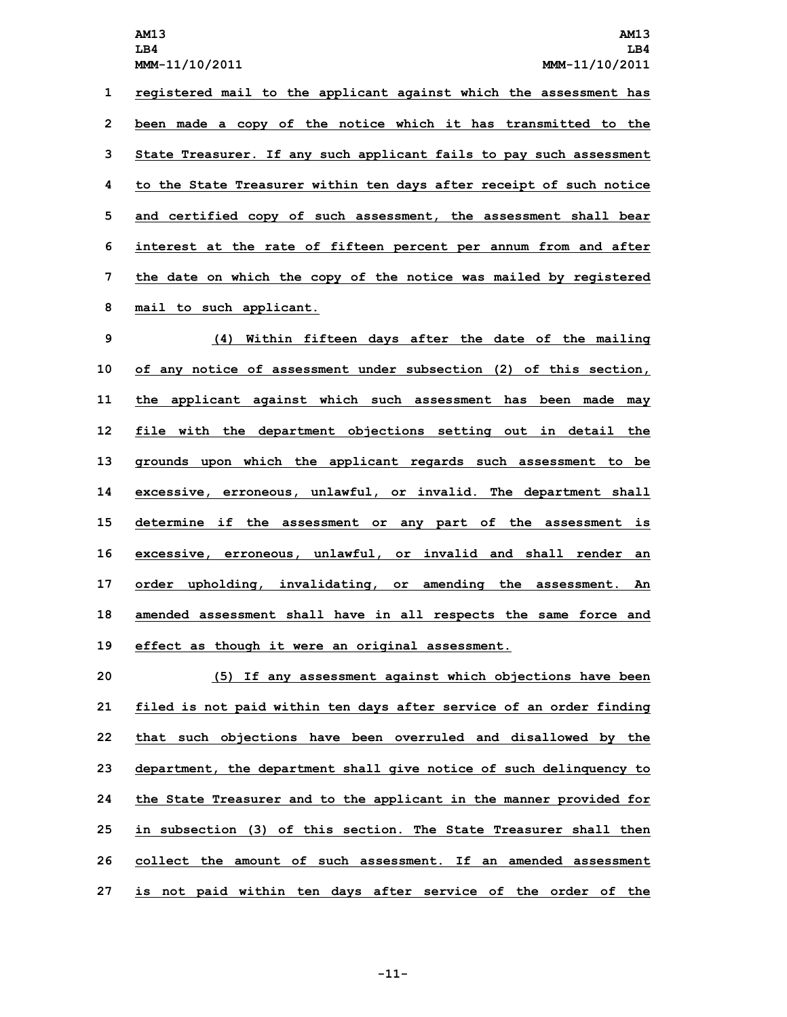**LB4 LB4**

 **registered mail to the applicant against which the assessment has been made <sup>a</sup> copy of the notice which it has transmitted to the State Treasurer. If any such applicant fails to pay such assessment to the State Treasurer within ten days after receipt of such notice and certified copy of such assessment, the assessment shall bear interest at the rate of fifteen percent per annum from and after the date on which the copy of the notice was mailed by registered mail to such applicant.**

 **(4) Within fifteen days after the date of the mailing of any notice of assessment under subsection (2) of this section, the applicant against which such assessment has been made may file with the department objections setting out in detail the grounds upon which the applicant regards such assessment to be excessive, erroneous, unlawful, or invalid. The department shall determine if the assessment or any part of the assessment is excessive, erroneous, unlawful, or invalid and shall render an order upholding, invalidating, or amending the assessment. An amended assessment shall have in all respects the same force and effect as though it were an original assessment.**

 **(5) If any assessment against which objections have been filed is not paid within ten days after service of an order finding that such objections have been overruled and disallowed by the department, the department shall give notice of such delinquency to the State Treasurer and to the applicant in the manner provided for in subsection (3) of this section. The State Treasurer shall then collect the amount of such assessment. If an amended assessment is not paid within ten days after service of the order of the**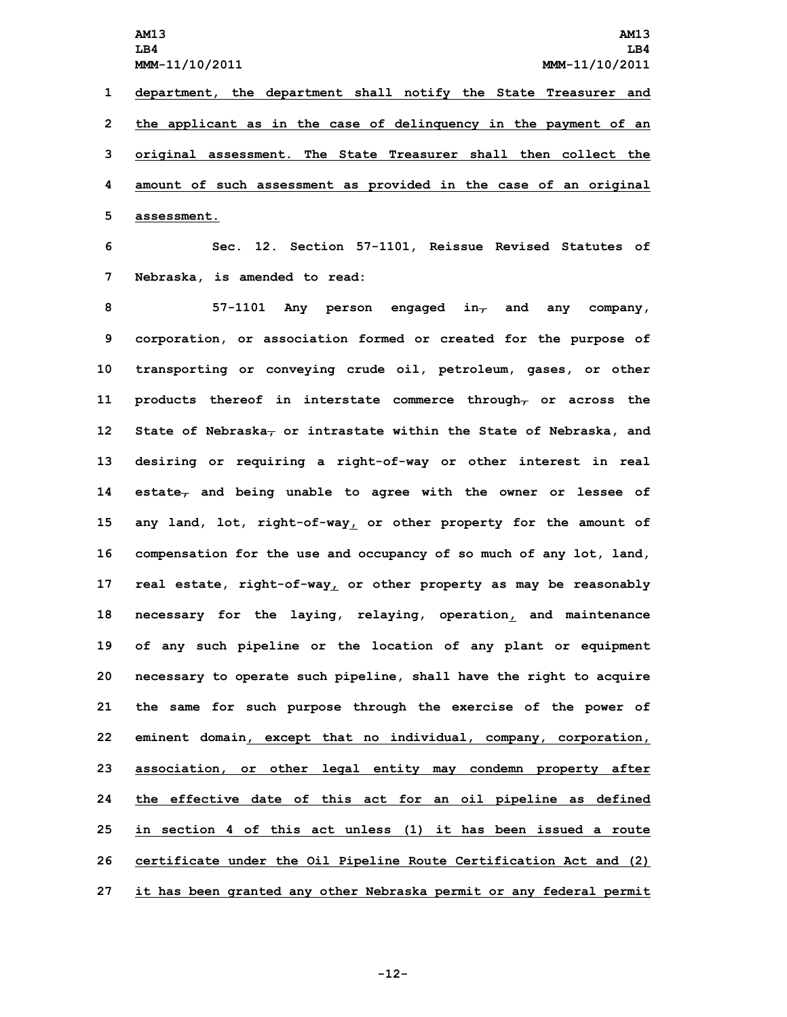**AM13 AM13 LB4 LB4 MMM-11/10/2011 MMM-11/10/2011 department, the department shall notify the State Treasurer and the applicant as in the case of delinquency in the payment of an original assessment. The State Treasurer shall then collect the amount of such assessment as provided in the case of an original assessment.**

**6 Sec. 12. Section 57-1101, Reissue Revised Statutes of 7 Nebraska, is amended to read:**

 **57-1101 Any person engaged in, and any company, corporation, or association formed or created for the purpose of transporting or conveying crude oil, petroleum, gases, or other products thereof in interstate commerce through, or across the State of Nebraska, or intrastate within the State of Nebraska, and desiring or requiring <sup>a</sup> right-of-way or other interest in real estate, and being unable to agree with the owner or lessee of any land, lot, right-of-way, or other property for the amount of compensation for the use and occupancy of so much of any lot, land, real estate, right-of-way, or other property as may be reasonably necessary for the laying, relaying, operation, and maintenance of any such pipeline or the location of any plant or equipment necessary to operate such pipeline, shall have the right to acquire the same for such purpose through the exercise of the power of eminent domain, except that no individual, company, corporation, association, or other legal entity may condemn property after the effective date of this act for an oil pipeline as defined in section 4 of this act unless (1) it has been issued <sup>a</sup> route certificate under the Oil Pipeline Route Certification Act and (2) it has been granted any other Nebraska permit or any federal permit**